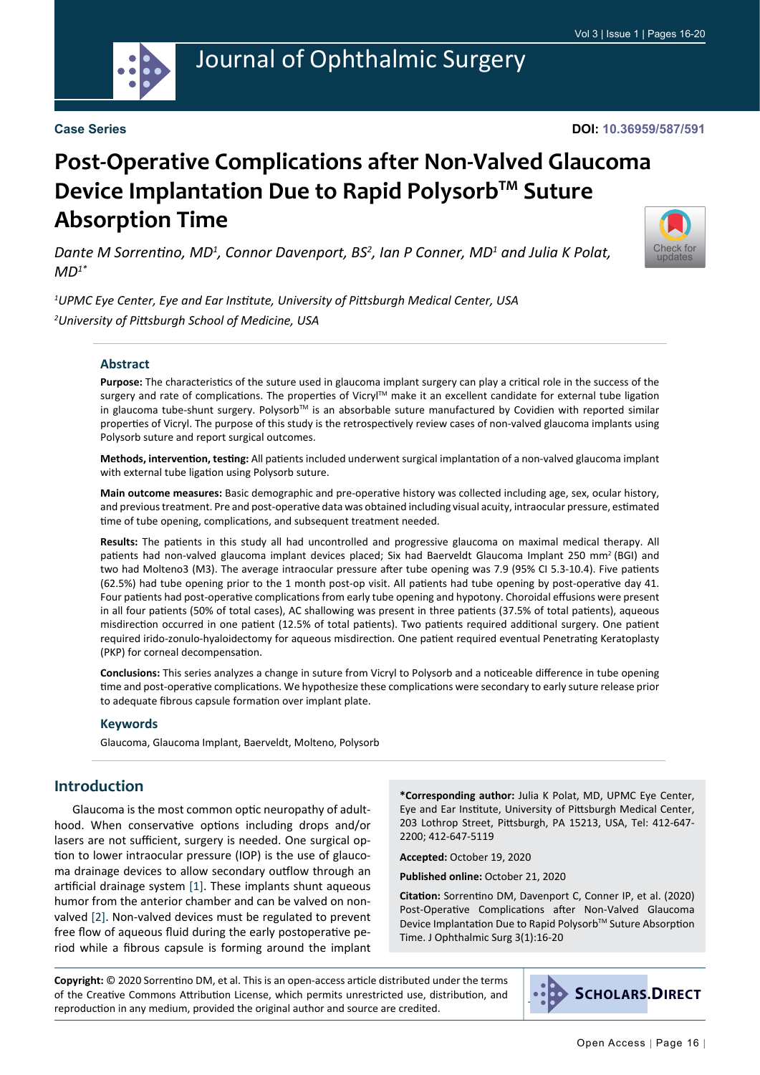

# Journal of Ophthalmic Surgery

#### **Case Series**

#### **DOI: 10.36959/587/591**

# **Post-Operative Complications after Non-Valved Glaucoma Device Implantation Due to Rapid Polysorb™ Suture Absorption Time**

Dante M Sorrentino, MD<sup>1</sup>, Connor Davenport, BS<sup>2</sup>, Ian P Conner, MD<sup>1</sup> and Julia K Polat, *MD1\**



*1 UPMC Eye Center, Eye and Ear Institute, University of Pittsburgh Medical Center, USA 2 University of Pittsburgh School of Medicine, USA*

#### **Abstract**

**Purpose:** The characteristics of the suture used in glaucoma implant surgery can play a critical role in the success of the surgery and rate of complications. The properties of Vicryl™ make it an excellent candidate for external tube ligation in glaucoma tube-shunt surgery. Polysorb™ is an absorbable suture manufactured by Covidien with reported similar properties of Vicryl. The purpose of this study is the retrospectively review cases of non-valved glaucoma implants using Polysorb suture and report surgical outcomes.

**Methods, intervention, testing:** All patients included underwent surgical implantation of a non-valved glaucoma implant with external tube ligation using Polysorb suture.

**Main outcome measures:** Basic demographic and pre-operative history was collected including age, sex, ocular history, and previous treatment. Pre and post-operative data was obtained including visual acuity, intraocular pressure, estimated time of tube opening, complications, and subsequent treatment needed.

**Results:** The patients in this study all had uncontrolled and progressive glaucoma on maximal medical therapy. All patients had non-valved glaucoma implant devices placed; Six had Baerveldt Glaucoma Implant 250 mm<sup>2</sup>(BGI) and two had Molteno3 (M3). The average intraocular pressure after tube opening was 7.9 (95% CI 5.3-10.4). Five patients (62.5%) had tube opening prior to the 1 month post-op visit. All patients had tube opening by post-operative day 41. Four patients had post-operative complications from early tube opening and hypotony. Choroidal effusions were present in all four patients (50% of total cases), AC shallowing was present in three patients (37.5% of total patients), aqueous misdirection occurred in one patient (12.5% of total patients). Two patients required additional surgery. One patient required irido-zonulo-hyaloidectomy for aqueous misdirection. One patient required eventual Penetrating Keratoplasty (PKP) for corneal decompensation.

**Conclusions:** This series analyzes a change in suture from Vicryl to Polysorb and a noticeable difference in tube opening time and post-operative complications. We hypothesize these complications were secondary to early suture release prior to adequate fibrous capsule formation over implant plate.

#### **Keywords**

Glaucoma, Glaucoma Implant, Baerveldt, Molteno, Polysorb

## **Introduction**

Glaucoma is the most common optic neuropathy of adulthood. When conservative options including drops and/or lasers are not sufficient, surgery is needed. One surgical option to lower intraocular pressure (IOP) is the use of glaucoma drainage devices to allow secondary outflow through an artificial drainage system [\[1](#page-3-0)]. These implants shunt aqueous humor from the anterior chamber and can be valved on nonvalved [[2\]](#page-3-1). Non-valved devices must be regulated to prevent free flow of aqueous fluid during the early postoperative period while a fibrous capsule is forming around the implant **\*Corresponding author:** Julia K Polat, MD, UPMC Eye Center, Eye and Ear Institute, University of Pittsburgh Medical Center, 203 Lothrop Street, Pittsburgh, PA 15213, USA, Tel: 412-647- 2200; 412-647-5119

**Accepted:** October 19, 2020

**Published online:** October 21, 2020

**Citation:** Sorrentino DM, Davenport C, Conner IP, et al. (2020) Post-Operative Complications after Non-Valved Glaucoma Device Implantation Due to Rapid Polysorb™ Suture Absorption Time. J Ophthalmic Surg 3(1):16-20

**Copyright:** © 2020 Sorrentino DM, et al. This is an open-access article distributed under the terms of the Creative Commons Attribution License, which permits unrestricted use, distribution, and reproduction in any medium, provided the original author and source are credited.

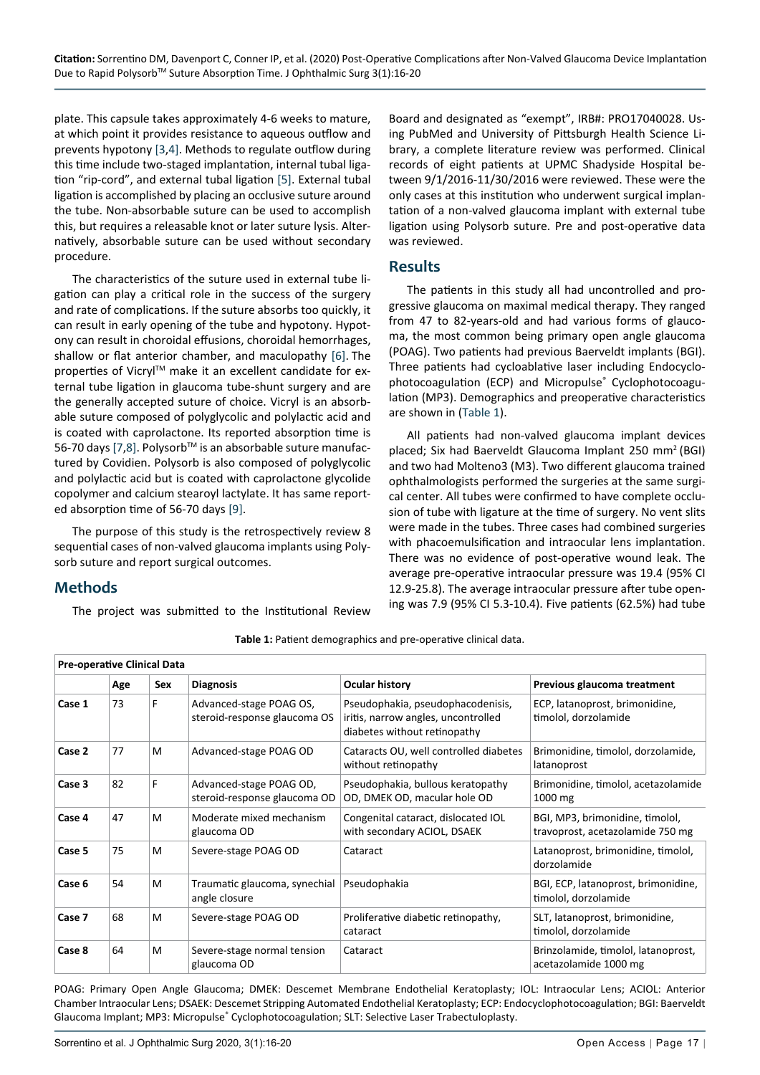plate. This capsule takes approximately 4-6 weeks to mature, at which point it provides resistance to aqueous outflow and prevents hypotony [\[3,](#page-3-2)[4](#page-3-3)]. Methods to regulate outflow during this time include two-staged implantation, internal tubal ligation "rip-cord", and external tubal ligation [\[5](#page-3-4)]. External tubal ligation is accomplished by placing an occlusive suture around the tube. Non-absorbable suture can be used to accomplish this, but requires a releasable knot or later suture lysis. Alternatively, absorbable suture can be used without secondary procedure.

The characteristics of the suture used in external tube ligation can play a critical role in the success of the surgery and rate of complications. If the suture absorbs too quickly, it can result in early opening of the tube and hypotony. Hypotony can result in choroidal effusions, choroidal hemorrhages, shallow or flat anterior chamber, and maculopathy [[6\]](#page-4-0). The properties of Vicryl™ make it an excellent candidate for external tube ligation in glaucoma tube-shunt surgery and are the generally accepted suture of choice. Vicryl is an absorbable suture composed of polyglycolic and polylactic acid and is coated with caprolactone. Its reported absorption time is 56-70 days [\[7](#page-4-1),[8\]](#page-4-2). Polysorb™ is an absorbable suture manufactured by Covidien. Polysorb is also composed of polyglycolic and polylactic acid but is coated with caprolactone glycolide copolymer and calcium stearoyl lactylate. It has same reported absorption time of 56-70 days [\[9](#page-4-3)].

The purpose of this study is the retrospectively review 8 sequential cases of non-valved glaucoma implants using Polysorb suture and report surgical outcomes.

## **Methods**

The project was submitted to the Institutional Review

Board and designated as "exempt", IRB#: PRO17040028. Using PubMed and University of Pittsburgh Health Science Library, a complete literature review was performed. Clinical records of eight patients at UPMC Shadyside Hospital between 9/1/2016-11/30/2016 were reviewed. These were the only cases at this institution who underwent surgical implantation of a non-valved glaucoma implant with external tube ligation using Polysorb suture. Pre and post-operative data was reviewed.

## **Results**

The patients in this study all had uncontrolled and progressive glaucoma on maximal medical therapy. They ranged from 47 to 82-years-old and had various forms of glaucoma, the most common being primary open angle glaucoma (POAG). Two patients had previous Baerveldt implants (BGI). Three patients had cycloablative laser including Endocyclophotocoagulation (ECP) and Micropulse® Cyclophotocoagulation (MP3). Demographics and preoperative characteristics are shown in [\(Table 1\)](#page-1-0).

All patients had non-valved glaucoma implant devices placed; Six had Baerveldt Glaucoma Implant 250 mm<sup>2</sup>(BGI) and two had Molteno3 (M3). Two different glaucoma trained ophthalmologists performed the surgeries at the same surgical center. All tubes were confirmed to have complete occlusion of tube with ligature at the time of surgery. No vent slits were made in the tubes. Three cases had combined surgeries with phacoemulsification and intraocular lens implantation. There was no evidence of post-operative wound leak. The average pre-operative intraocular pressure was 19.4 (95% CI 12.9-25.8). The average intraocular pressure after tube opening was 7.9 (95% CI 5.3-10.4). Five patients (62.5%) had tube

| <b>Pre-operative Clinical Data</b> |     |     |                                                         |                                                                                                          |                                                                     |  |  |
|------------------------------------|-----|-----|---------------------------------------------------------|----------------------------------------------------------------------------------------------------------|---------------------------------------------------------------------|--|--|
|                                    | Age | Sex | <b>Diagnosis</b>                                        | <b>Ocular history</b>                                                                                    | Previous glaucoma treatment                                         |  |  |
| Case 1                             | 73  | F   | Advanced-stage POAG OS,<br>steroid-response glaucoma OS | Pseudophakia, pseudophacodenisis,<br>iritis, narrow angles, uncontrolled<br>diabetes without retinopathy | ECP, latanoprost, brimonidine,<br>timolol, dorzolamide              |  |  |
| Case 2                             | 77  | M   | Advanced-stage POAG OD                                  | Cataracts OU, well controlled diabetes<br>without retinopathy                                            | Brimonidine, timolol, dorzolamide,<br>latanoprost                   |  |  |
| Case 3                             | 82  | F   | Advanced-stage POAG OD,<br>steroid-response glaucoma OD | Pseudophakia, bullous keratopathy<br>OD, DMEK OD, macular hole OD                                        | Brimonidine, timolol, acetazolamide<br>1000 mg                      |  |  |
| Case 4                             | 47  | м   | Moderate mixed mechanism<br>glaucoma OD                 | Congenital cataract, dislocated IOL<br>with secondary ACIOL, DSAEK                                       | BGI, MP3, brimonidine, timolol,<br>travoprost, acetazolamide 750 mg |  |  |
| Case 5                             | 75  | м   | Severe-stage POAG OD                                    | Cataract                                                                                                 | Latanoprost, brimonidine, timolol,<br>dorzolamide                   |  |  |
| Case 6                             | 54  | M   | Traumatic glaucoma, synechial<br>angle closure          | Pseudophakia                                                                                             | BGI, ECP, latanoprost, brimonidine,<br>timolol, dorzolamide         |  |  |
| Case 7                             | 68  | M   | Severe-stage POAG OD                                    | Proliferative diabetic retinopathy,<br>cataract                                                          | SLT, latanoprost, brimonidine,<br>timolol, dorzolamide              |  |  |
| Case 8                             | 64  | M   | Severe-stage normal tension<br>glaucoma OD              | Cataract                                                                                                 | Brinzolamide, timolol, latanoprost,<br>acetazolamide 1000 mg        |  |  |

<span id="page-1-0"></span>**Table 1:** Patient demographics and pre-operative clinical data.

POAG: Primary Open Angle Glaucoma; DMEK: Descemet Membrane Endothelial Keratoplasty; IOL: Intraocular Lens; ACIOL: Anterior Chamber Intraocular Lens; DSAEK: Descemet Stripping Automated Endothelial Keratoplasty; ECP: Endocyclophotocoagulation; BGI: Baerveldt Glaucoma Implant; MP3: Micropulse® Cyclophotocoagulation; SLT: Selective Laser Trabectuloplasty.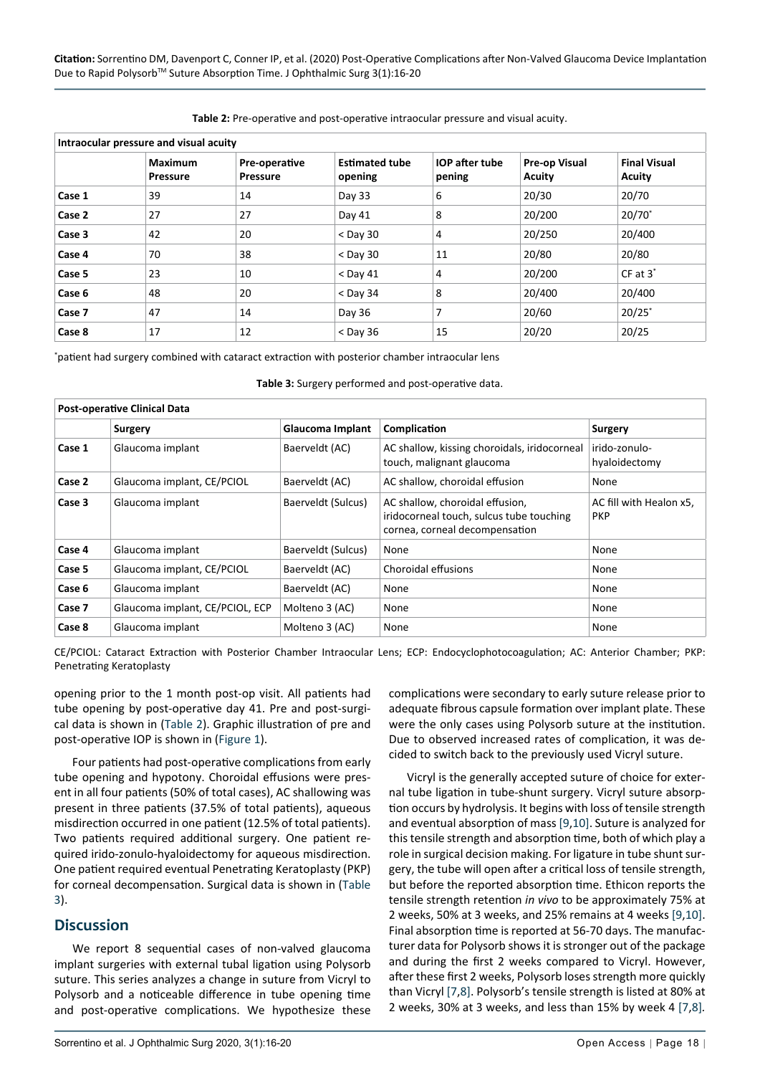| Intraocular pressure and visual acuity |                     |                                  |                                  |                                 |                                       |                               |  |  |
|----------------------------------------|---------------------|----------------------------------|----------------------------------|---------------------------------|---------------------------------------|-------------------------------|--|--|
|                                        | Maximum<br>Pressure | Pre-operative<br><b>Pressure</b> | <b>Estimated tube</b><br>opening | <b>IOP</b> after tube<br>pening | <b>Pre-op Visual</b><br><b>Acuity</b> | <b>Final Visual</b><br>Acuity |  |  |
| Case 1                                 | 39                  | 14                               | Day 33                           | 6                               | 20/30                                 | 20/70                         |  |  |
| Case 2                                 | 27                  | 27                               | Day 41                           | 8                               | 20/200                                | $20/70^*$                     |  |  |
| Case 3                                 | 42                  | 20                               | $<$ Day 30                       | 4                               | 20/250                                | 20/400                        |  |  |
| Case 4                                 | 70                  | 38                               | $<$ Day 30                       | 11                              | 20/80                                 | 20/80                         |  |  |
| Case 5                                 | 23                  | 10                               | $<$ Day 41                       | 4                               | 20/200                                | $CF$ at $3^*$                 |  |  |
| Case 6                                 | 48                  | 20                               | $<$ Day 34                       | 8                               | 20/400                                | 20/400                        |  |  |
| Case 7                                 | 47                  | 14                               | Day 36                           | 7                               | 20/60                                 | $20/25$ <sup>*</sup>          |  |  |
| Case 8                                 | 17                  | 12                               | $<$ Day 36                       | 15                              | 20/20                                 | 20/25                         |  |  |

<span id="page-2-0"></span>**Table 2:** Pre-operative and post-operative intraocular pressure and visual acuity.

\* patient had surgery combined with cataract extraction with posterior chamber intraocular lens

<span id="page-2-1"></span>

| <b>Post-operative Clinical Data</b> |                                 |                    |                                                                                                               |                                       |  |  |  |  |
|-------------------------------------|---------------------------------|--------------------|---------------------------------------------------------------------------------------------------------------|---------------------------------------|--|--|--|--|
|                                     | <b>Surgery</b>                  | Glaucoma Implant   | Complication                                                                                                  | Surgery                               |  |  |  |  |
| Case 1                              | Glaucoma implant                | Baerveldt (AC)     | AC shallow, kissing choroidals, iridocorneal<br>touch, malignant glaucoma                                     | irido-zonulo-<br>hyaloidectomy        |  |  |  |  |
| Case 2                              | Glaucoma implant, CE/PCIOL      | Baerveldt (AC)     | AC shallow, choroidal effusion                                                                                | None                                  |  |  |  |  |
| Case 3                              | Glaucoma implant                | Baerveldt (Sulcus) | AC shallow, choroidal effusion,<br>iridocorneal touch, sulcus tube touching<br>cornea, corneal decompensation | AC fill with Healon x5.<br><b>PKP</b> |  |  |  |  |
| Case 4                              | Glaucoma implant                | Baerveldt (Sulcus) | None                                                                                                          | None                                  |  |  |  |  |
| Case 5                              | Glaucoma implant, CE/PCIOL      | Baerveldt (AC)     | Choroidal effusions                                                                                           | None                                  |  |  |  |  |
| Case 6                              | Glaucoma implant                | Baerveldt (AC)     | None                                                                                                          | None                                  |  |  |  |  |
| Case 7                              | Glaucoma implant, CE/PCIOL, ECP | Molteno 3 (AC)     | None                                                                                                          | None                                  |  |  |  |  |
| Case 8                              | Glaucoma implant                | Molteno 3 (AC)     | None                                                                                                          | None                                  |  |  |  |  |

CE/PCIOL: Cataract Extraction with Posterior Chamber Intraocular Lens; ECP: Endocyclophotocoagulation; AC: Anterior Chamber; PKP: Penetrating Keratoplasty

opening prior to the 1 month post-op visit. All patients had tube opening by post-operative day 41. Pre and post-surgical data is shown in ([Table 2\)](#page-2-0). Graphic illustration of pre and post-operative IOP is shown in [\(Figure 1](#page-3-5)).

Four patients had post-operative complications from early tube opening and hypotony. Choroidal effusions were present in all four patients (50% of total cases), AC shallowing was present in three patients (37.5% of total patients), aqueous misdirection occurred in one patient (12.5% of total patients). Two patients required additional surgery. One patient required irido-zonulo-hyaloidectomy for aqueous misdirection. One patient required eventual Penetrating Keratoplasty (PKP) for corneal decompensation. Surgical data is shown in [\(Table](#page-2-1)  [3\)](#page-2-1).

## **Discussion**

We report 8 sequential cases of non-valved glaucoma implant surgeries with external tubal ligation using Polysorb suture. This series analyzes a change in suture from Vicryl to Polysorb and a noticeable difference in tube opening time and post-operative complications. We hypothesize these

complications were secondary to early suture release prior to adequate fibrous capsule formation over implant plate. These were the only cases using Polysorb suture at the institution. Due to observed increased rates of complication, it was decided to switch back to the previously used Vicryl suture.

Vicryl is the generally accepted suture of choice for external tube ligation in tube-shunt surgery. Vicryl suture absorption occurs by hydrolysis. It begins with loss of tensile strength and eventual absorption of mass [\[9](#page-4-3),[10\]](#page-4-4). Suture is analyzed for this tensile strength and absorption time, both of which play a role in surgical decision making. For ligature in tube shunt surgery, the tube will open after a critical loss of tensile strength, but before the reported absorption time. Ethicon reports the tensile strength retention *in vivo* to be approximately 75% at 2 weeks, 50% at 3 weeks, and 25% remains at 4 weeks [\[9,](#page-4-3)[10](#page-4-4)]. Final absorption time is reported at 56-70 days. The manufacturer data for Polysorb shows it is stronger out of the package and during the first 2 weeks compared to Vicryl. However, after these first 2 weeks, Polysorb loses strength more quickly than Vicryl [\[7](#page-4-1),[8\]](#page-4-2). Polysorb's tensile strength is listed at 80% at 2 weeks, 30% at 3 weeks, and less than 15% by week 4 [[7,](#page-4-1)[8](#page-4-2)]*.*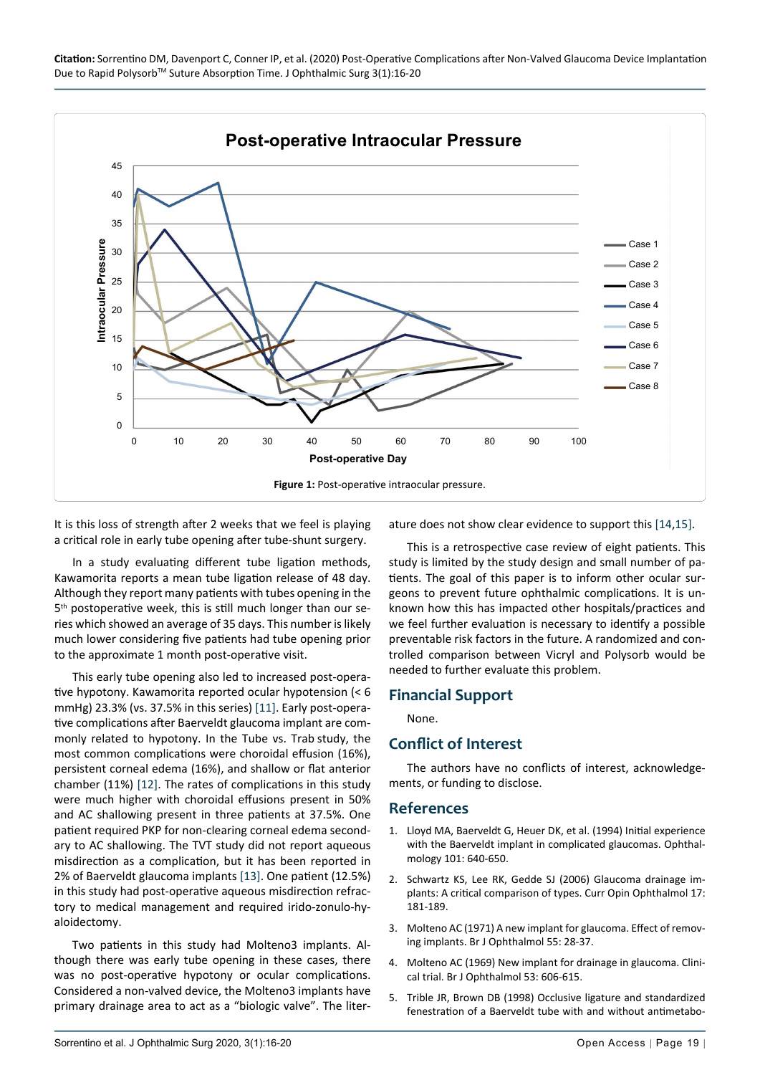<span id="page-3-5"></span>

It is this loss of strength after 2 weeks that we feel is playing a critical role in early tube opening after tube-shunt surgery.

In a study evaluating different tube ligation methods, Kawamorita reports a mean tube ligation release of 48 day. Although they report many patients with tubes opening in the 5<sup>th</sup> postoperative week, this is still much longer than our series which showed an average of 35 days. This number is likely much lower considering five patients had tube opening prior to the approximate 1 month post-operative visit.

This early tube opening also led to increased post-operative hypotony. Kawamorita reported ocular hypotension (< 6 mmHg) 23.3% (vs. 37.5% in this series) [[11](#page-4-7)]. Early post-operative complications after Baerveldt glaucoma implant are commonly related to hypotony. In the Tube vs. Trab study, the most common complications were choroidal effusion (16%), persistent corneal edema (16%), and shallow or flat anterior chamber (11%) [\[12\]](#page-4-8). The rates of complications in this study were much higher with choroidal effusions present in 50% and AC shallowing present in three patients at 37.5%. One patient required PKP for non-clearing corneal edema secondary to AC shallowing. The TVT study did not report aqueous misdirection as a complication, but it has been reported in 2% of Baerveldt glaucoma implants [\[13](#page-4-9)]. One patient (12.5%) in this study had post-operative aqueous misdirection refractory to medical management and required irido-zonulo-hyaloidectomy.

Two patients in this study had Molteno3 implants. Although there was early tube opening in these cases, there was no post-operative hypotony or ocular complications. Considered a non-valved device, the Molteno3 implants have primary drainage area to act as a "biologic valve". The literature does not show clear evidence to support this [\[14](#page-4-5),[15](#page-4-6)].

This is a retrospective case review of eight patients. This study is limited by the study design and small number of patients. The goal of this paper is to inform other ocular surgeons to prevent future ophthalmic complications. It is unknown how this has impacted other hospitals/practices and we feel further evaluation is necessary to identify a possible preventable risk factors in the future. A randomized and controlled comparison between Vicryl and Polysorb would be needed to further evaluate this problem.

## **Financial Support**

None.

## **Conflict of Interest**

The authors have no conflicts of interest, acknowledgements, or funding to disclose.

#### **References**

- <span id="page-3-0"></span>1. [Lloyd MA, Baerveldt G, Heuer DK, et al. \(1994\) Initial experience](https://www.sciencedirect.com/science/article/abs/pii/S0161642094312838)  [with the Baerveldt implant in complicated glaucomas. Ophthal](https://www.sciencedirect.com/science/article/abs/pii/S0161642094312838)[mology 101: 640-650.](https://www.sciencedirect.com/science/article/abs/pii/S0161642094312838)
- <span id="page-3-1"></span>2. Schwartz KS, Lee RK, Gedde SJ (2006) Glaucoma drainage implants: A critical comparison of types. Curr Opin Ophthalmol 17: 181-189.
- <span id="page-3-2"></span>3. [Molteno AC \(1971\) A new implant for glaucoma. Effect of remov](https://www.ncbi.nlm.nih.gov/pmc/articles/PMC1208130/)[ing implants. Br J Ophthalmol 55: 28-37.](https://www.ncbi.nlm.nih.gov/pmc/articles/PMC1208130/)
- <span id="page-3-3"></span>4. [Molteno AC \(1969\) New implant for drainage in glaucoma. Clini](https://www.ncbi.nlm.nih.gov/pmc/articles/PMC1207524/)[cal trial. Br J Ophthalmol 53: 606-615.](https://www.ncbi.nlm.nih.gov/pmc/articles/PMC1207524/)
- <span id="page-3-4"></span>5. [Trible JR, Brown DB \(1998\) Occlusive ligature and standardized](https://www.sciencedirect.com/science/article/abs/pii/S0161642098912234)  [fenestration of a Baerveldt tube with and without antimetabo-](https://www.sciencedirect.com/science/article/abs/pii/S0161642098912234)